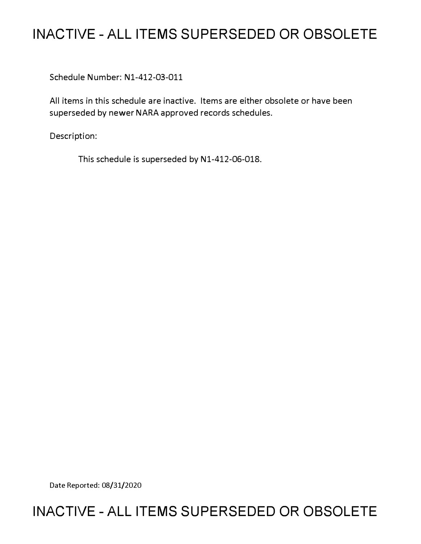# **INACTIVE - ALL ITEMS SUPERSEDED OR OBSOLETE**

Schedule Number: Nl-412-03-011

All items in this schedule are inactive. Items are either obsolete or have been superseded by newer NARA approved records schedules.

Description:

This schedule is superseded by N1-412-06-018.

Date Reported: 08/31/2020

# **INACTIVE - ALL ITEMS SUPERSEDED OR OBSOLETE**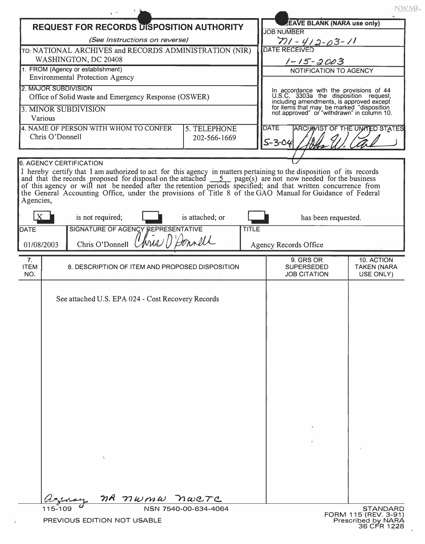|                                                                                          |         | $\cdot$ $\cdot$                                        |  |                                       |              |                                                                                                                                                                                                                                                                                                                                                 | NWML                                    |
|------------------------------------------------------------------------------------------|---------|--------------------------------------------------------|--|---------------------------------------|--------------|-------------------------------------------------------------------------------------------------------------------------------------------------------------------------------------------------------------------------------------------------------------------------------------------------------------------------------------------------|-----------------------------------------|
| <b>REQUEST FOR RECORDS DISPOSITION AUTHORITY</b>                                         |         |                                                        |  |                                       |              | <b>EAVE BLANK (NARA use only)</b><br><b>JOB NUMBER</b>                                                                                                                                                                                                                                                                                          |                                         |
| (See Instructions on reverse)                                                            |         |                                                        |  |                                       |              | $71 - 412 - 03 - 11$                                                                                                                                                                                                                                                                                                                            |                                         |
| TO: NATIONAL ARCHIVES and RECORDS ADMINISTRATION (NIR)<br>WASHINGTON, DC 20408           |         |                                                        |  |                                       |              | <b>DATE RECEIVED</b>                                                                                                                                                                                                                                                                                                                            |                                         |
| 1. FROM (Agency or establishment)                                                        |         |                                                        |  |                                       |              | $1 - 15 - 2003$<br>NOTIFICATION TO AGENCY                                                                                                                                                                                                                                                                                                       |                                         |
| <b>Environmental Protection Agency</b>                                                   |         |                                                        |  |                                       |              |                                                                                                                                                                                                                                                                                                                                                 |                                         |
| <b>2. MAJOR SUBDIVISION</b><br>Office of Solid Waste and Emergency Response (OSWER)      |         |                                                        |  |                                       |              | In accordance with the provisions of 44<br>U.S.C. 3303a the disposition request,<br>including amendments, is approved except<br>for items that may be marked "disposition<br>not approved" or "withdrawn" in column 10.<br><b>DATE</b><br><b>ARCHAVIST OF THE UNITED STATES</b>                                                                 |                                         |
| 3. MINOR SUBDIVISION                                                                     |         |                                                        |  |                                       |              |                                                                                                                                                                                                                                                                                                                                                 |                                         |
| Various                                                                                  |         |                                                        |  |                                       |              |                                                                                                                                                                                                                                                                                                                                                 |                                         |
| 4. NAME OF PERSON WITH WHOM TO CONFER<br>5. TELEPHONE<br>Chris O'Donnell<br>202-566-1669 |         |                                                        |  |                                       |              |                                                                                                                                                                                                                                                                                                                                                 |                                         |
|                                                                                          |         |                                                        |  |                                       |              | $5 - 3 - 04$                                                                                                                                                                                                                                                                                                                                    |                                         |
|                                                                                          |         | <b>6. AGENCY CERTIFICATION</b>                         |  |                                       |              |                                                                                                                                                                                                                                                                                                                                                 |                                         |
| Agencies,                                                                                |         |                                                        |  |                                       |              | I hereby certify that I am authorized to act for this agency in matters pertaining to the disposition of its records<br>and that the records proposed for disposal on the attached $\frac{5}{2}$ page(s) are not now needed for the<br>the General Accounting Office, under the provisions of Title 8 of the GAO Manual for Guidance of Federal |                                         |
|                                                                                          |         | is not required;                                       |  | is attached; or                       |              | has been requested.                                                                                                                                                                                                                                                                                                                             |                                         |
| DATE                                                                                     |         | SIGNATURE OF AGENCY REPRESENTATIVE                     |  |                                       | <b>TITLE</b> |                                                                                                                                                                                                                                                                                                                                                 |                                         |
| 01/08/2003                                                                               |         | Chris O'Donnell Unis () Donnell                        |  |                                       |              | Agency Records Office                                                                                                                                                                                                                                                                                                                           |                                         |
| 7 <sub>1</sub>                                                                           |         |                                                        |  |                                       |              | 9. GRS OR                                                                                                                                                                                                                                                                                                                                       | 10. ACTION                              |
| <b>ITEM</b><br>NO.                                                                       |         | 8. DESCRIPTION OF ITEM AND PROPOSED DISPOSITION        |  |                                       |              | <b>SUPERSEDED</b><br><b>JOB CITATION</b>                                                                                                                                                                                                                                                                                                        | <b>TAKEN (NARA</b><br>USE ONLY)         |
|                                                                                          |         | See attached U.S. EPA 024 - Cost Recovery Records<br>₹ |  |                                       |              |                                                                                                                                                                                                                                                                                                                                                 |                                         |
|                                                                                          |         |                                                        |  | na numu nwere<br>NSN 7540-00-634-4064 |              |                                                                                                                                                                                                                                                                                                                                                 |                                         |
|                                                                                          | 115-109 |                                                        |  |                                       |              |                                                                                                                                                                                                                                                                                                                                                 | <b>STANDARD</b><br>FORM 115 (REV. 3-91) |

i,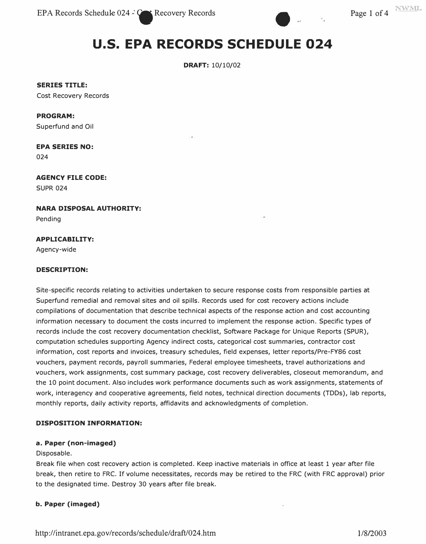

# **U.S. EPA RECORDS SCHEDULE 024**

**DRAFT:** 10/10/02

**SERIES TITLE:** 

Cost Recovery Records

#### **PROGRAM:**

Superfund and Oil

# **EPA SERIES NO:**

024

# **AGENCY FILE CODE:**  SUPR 024

**NARA DISPOSAL AUTHORITY:** 

Pending

# **APPLICABILITY:**

Agency-wide

### **DESCRIPTION:**

Site-specific records relating to activities undertaken to secure response costs from responsible parties at Superfund remedial and removal sites and oil spills. Records used for cost recovery actions include compilations of documentation that describe technical aspects of the response action and cost accounting information necessary to document the costs incurred to implement the response action. Specific types of records include the cost recovery documentation checklist, Software Package for Unique Reports (SPUR), computation schedules supporting Agency indirect costs, categorical cost summaries, contractor cost information, cost reports and invoices, treasury schedules, field expenses, letter reports/Pre-FY86 cost vouchers, payment records, payroll summaries, Federal employee timesheets, travel authorizations and vouchers, work assignments, cost summary package, cost recovery deliverables, closeout memorandum, and the 10 point document. Also includes work performance documents such as work assignments, statements of work, interagency and cooperative agreements, field notes, technical direction documents (TDDs), lab reports, monthly reports, daily activity reports, affidavits and acknowledgments of completion.

# **DISPOSITION INFORMATION:**

#### **a. Paper (non-imaged)**

#### Disposable.

Break file when cost recovery action is completed. Keep inactive materials in office at least 1 year after file break, then retire to FRC. If volume necessitates, records may be retired to the FRC (with FRC approval) prior to the designated time. Destroy 30 years after file break.

# **b. Paper (imaged)**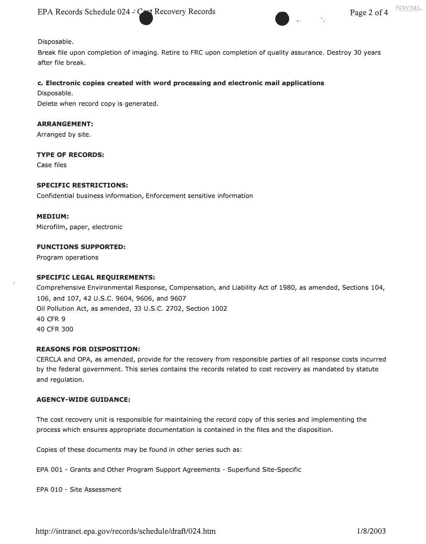EPA Records Schedule 024 -: Cost Recovery Records Page 2 of 4



Disposable.

Break file upon completion of imaging. Retire to FRC upon completion of quality assurance. Destroy 30 years after file break.

#### **c. Electronic copies created with word processing and electronic mail applications**

Disposable.

Delete when record copy is generated.

#### **ARRANGEMENT:**

Arranged by site.

# **TYPE OF RECORDS:**

Case files

#### **SPECIFIC RESTRICTIONS:**

Confidential business information, Enforcement sensitive information

#### **MEDIUM:**

Microfilm, paper, electronic

#### **FUNCTIONS SUPPORTED:**

Program operations

#### **SPECIFIC LEGAL REQUIREMENTS:**

Comprehensive Environmental Response, Compensation, and Liability Act of 1980, as amended, Sections 104, 106, and 107, 42 U.S.C. 9604, 9606, and 9607 Oil Pollution Act, as amended, 33 U.S.C. 2702, Section 1002 40 CFR 9 40 CFR 300

#### **REASONS FOR DISPOSITION:**

CERCLA and OPA, as amended, provide for the recovery from responsible parties of all response costs incurred by the federal government. This series contains the records related to cost recovery as mandated by statute and regulation.

# **AGENCY-WIDE GUIDANCE:**

The cost recovery unit is responsible for maintaining the record copy of this series and implementing the process which ensures appropriate documentation is contained in the files and the disposition.

Copies of these documents may be found in other series such as:

EPA 001 - Grants and Other Program Support Agreements - Superfund Site-Specific

EPA 010 - Site Assessment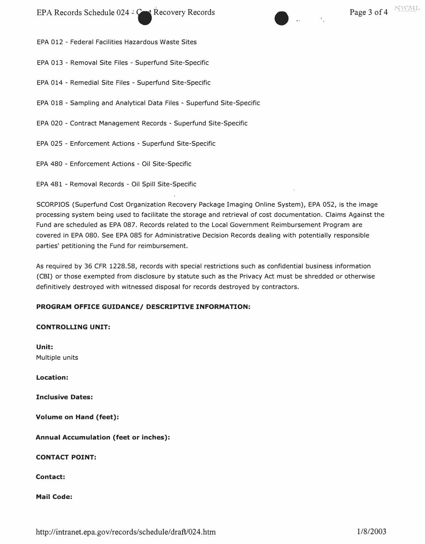EPA Records Schedule 024 .:  $C^*$  Recovery Records Page 3 of 4 NWML

EPA 012 - Federal Facilities Hazardous Waste Sites

EPA 013 - Removal Site Files - Superfund Site-Specific

EPA 014 - Remedial Site Files - Superfund Site-Specific

EPA 018 - Sampling and Analytical Data Files - Superfund Site-Specific

EPA 020 - Contract Management Records - Superfund Site-Specific

EPA 025 - Enforcement Actions - Superfund Site-Specific

EPA 480 - Enforcement Actions - Oil Site-Specific

EPA 481 - Removal Records - Oil Spill Site-Specific

SCORPIOS (Superfund Cost Organization Recovery Package Imaging Online System), EPA 052, is the image processing system being used to facilitate the storage and retrieval of cost documentation. Claims Against the Fund are scheduled as EPA 087. Records related to the Local Government Reimbursement Program are covered in EPA 080. See EPA 085 for Administrative Decision Records dealing with potentially responsible parties' petitioning the Fund for reimbursement.

As required by 36 CFR 1228.58, records with special restrictions such as confidential business information (CBI) or those exempted from disclosure by statute such as the Privacy Act must be shredded or otherwise definitively destroyed with witnessed disposal for records destroyed by contractors.

# **PROGRAM OFFICE GUIDANCE/ DESCRIPTIVE INFORMATION:**

# **CONTROLLING UNIT:**

**Unit:**  Multiple units

**Location:** 

**Inclusive Dates:** 

**Volume on Hand {feet):** 

**Annual Accumulation {feet or inches):** 

**CONTACT POINT:** 

# **Contact:**

# **Mail Code:**